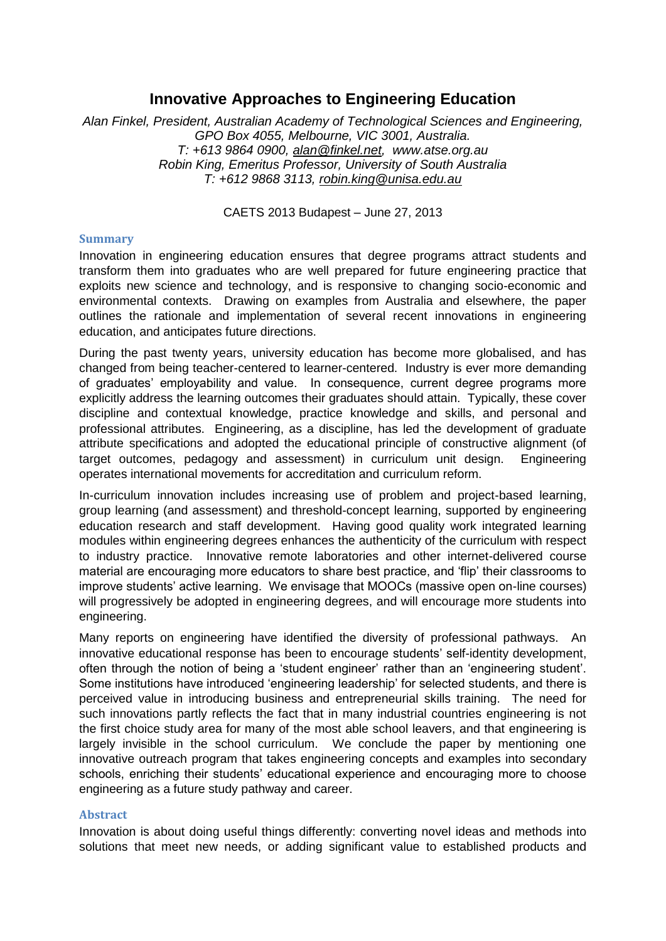## **Innovative Approaches to Engineering Education**

*Alan Finkel, President, Australian Academy of Technological Sciences and Engineering, GPO Box 4055, Melbourne, VIC 3001, Australia. T: +613 9864 0900, [alan@finkel.net,](mailto:alan@finkel.net) www.atse.org.au Robin King, Emeritus Professor, University of South Australia T: +612 9868 3113, [robin.king@unisa.edu.au](mailto:robin.king@unisa.edu.au)*

CAETS 2013 Budapest – June 27, 2013

## **Summary**

Innovation in engineering education ensures that degree programs attract students and transform them into graduates who are well prepared for future engineering practice that exploits new science and technology, and is responsive to changing socio-economic and environmental contexts. Drawing on examples from Australia and elsewhere, the paper outlines the rationale and implementation of several recent innovations in engineering education, and anticipates future directions.

During the past twenty years, university education has become more globalised, and has changed from being teacher-centered to learner-centered. Industry is ever more demanding of graduates' employability and value. In consequence, current degree programs more explicitly address the learning outcomes their graduates should attain. Typically, these cover discipline and contextual knowledge, practice knowledge and skills, and personal and professional attributes. Engineering, as a discipline, has led the development of graduate attribute specifications and adopted the educational principle of constructive alignment (of target outcomes, pedagogy and assessment) in curriculum unit design. Engineering operates international movements for accreditation and curriculum reform.

In-curriculum innovation includes increasing use of problem and project-based learning, group learning (and assessment) and threshold-concept learning, supported by engineering education research and staff development. Having good quality work integrated learning modules within engineering degrees enhances the authenticity of the curriculum with respect to industry practice. Innovative remote laboratories and other internet-delivered course material are encouraging more educators to share best practice, and 'flip' their classrooms to improve students' active learning. We envisage that MOOCs (massive open on-line courses) will progressively be adopted in engineering degrees, and will encourage more students into engineering.

Many reports on engineering have identified the diversity of professional pathways. An innovative educational response has been to encourage students' self-identity development, often through the notion of being a 'student engineer' rather than an 'engineering student'. Some institutions have introduced 'engineering leadership' for selected students, and there is perceived value in introducing business and entrepreneurial skills training. The need for such innovations partly reflects the fact that in many industrial countries engineering is not the first choice study area for many of the most able school leavers, and that engineering is largely invisible in the school curriculum. We conclude the paper by mentioning one innovative outreach program that takes engineering concepts and examples into secondary schools, enriching their students' educational experience and encouraging more to choose engineering as a future study pathway and career.

## **Abstract**

Innovation is about doing useful things differently: converting novel ideas and methods into solutions that meet new needs, or adding significant value to established products and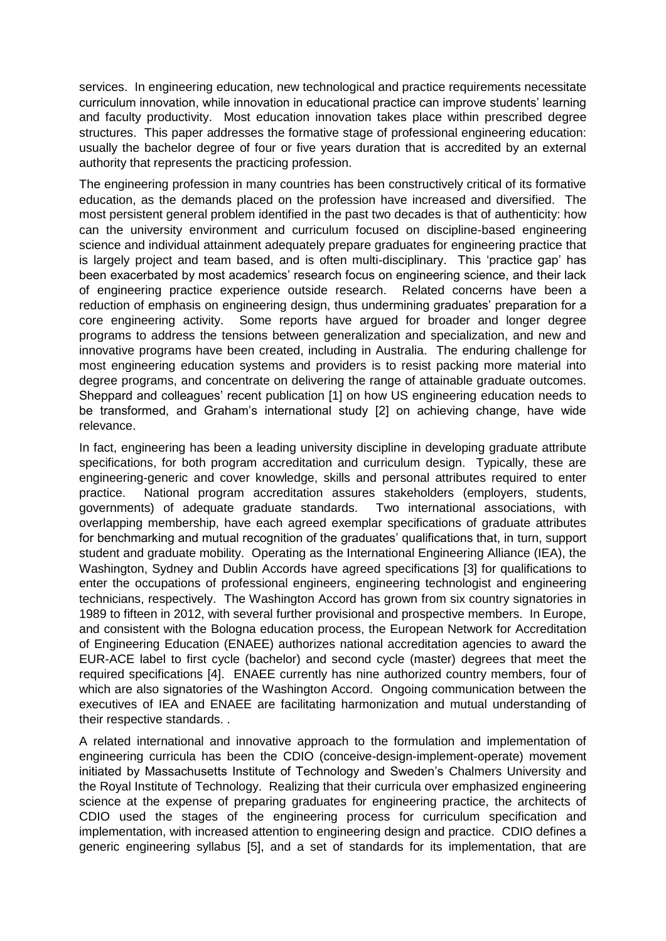services. In engineering education, new technological and practice requirements necessitate curriculum innovation, while innovation in educational practice can improve students' learning and faculty productivity. Most education innovation takes place within prescribed degree structures. This paper addresses the formative stage of professional engineering education: usually the bachelor degree of four or five years duration that is accredited by an external authority that represents the practicing profession.

The engineering profession in many countries has been constructively critical of its formative education, as the demands placed on the profession have increased and diversified. The most persistent general problem identified in the past two decades is that of authenticity: how can the university environment and curriculum focused on discipline-based engineering science and individual attainment adequately prepare graduates for engineering practice that is largely project and team based, and is often multi-disciplinary. This 'practice gap' has been exacerbated by most academics' research focus on engineering science, and their lack of engineering practice experience outside research. Related concerns have been a reduction of emphasis on engineering design, thus undermining graduates' preparation for a core engineering activity. Some reports have argued for broader and longer degree programs to address the tensions between generalization and specialization, and new and innovative programs have been created, including in Australia. The enduring challenge for most engineering education systems and providers is to resist packing more material into degree programs, and concentrate on delivering the range of attainable graduate outcomes. Sheppard and colleagues' recent publication [1] on how US engineering education needs to be transformed, and Graham's international study [2] on achieving change, have wide relevance.

In fact, engineering has been a leading university discipline in developing graduate attribute specifications, for both program accreditation and curriculum design. Typically, these are engineering-generic and cover knowledge, skills and personal attributes required to enter practice. National program accreditation assures stakeholders (employers, students, governments) of adequate graduate standards. Two international associations, with overlapping membership, have each agreed exemplar specifications of graduate attributes for benchmarking and mutual recognition of the graduates' qualifications that, in turn, support student and graduate mobility. Operating as the International Engineering Alliance (IEA), the Washington, Sydney and Dublin Accords have agreed specifications [3] for qualifications to enter the occupations of professional engineers, engineering technologist and engineering technicians, respectively. The Washington Accord has grown from six country signatories in 1989 to fifteen in 2012, with several further provisional and prospective members. In Europe, and consistent with the Bologna education process, the European Network for Accreditation of Engineering Education (ENAEE) authorizes national accreditation agencies to award the EUR-ACE label to first cycle (bachelor) and second cycle (master) degrees that meet the required specifications [4]. ENAEE currently has nine authorized country members, four of which are also signatories of the Washington Accord. Ongoing communication between the executives of IEA and ENAEE are facilitating harmonization and mutual understanding of their respective standards. .

A related international and innovative approach to the formulation and implementation of engineering curricula has been the CDIO (conceive-design-implement-operate) movement initiated by Massachusetts Institute of Technology and Sweden's Chalmers University and the Royal Institute of Technology. Realizing that their curricula over emphasized engineering science at the expense of preparing graduates for engineering practice, the architects of CDIO used the stages of the engineering process for curriculum specification and implementation, with increased attention to engineering design and practice. CDIO defines a generic engineering syllabus [5], and a set of standards for its implementation, that are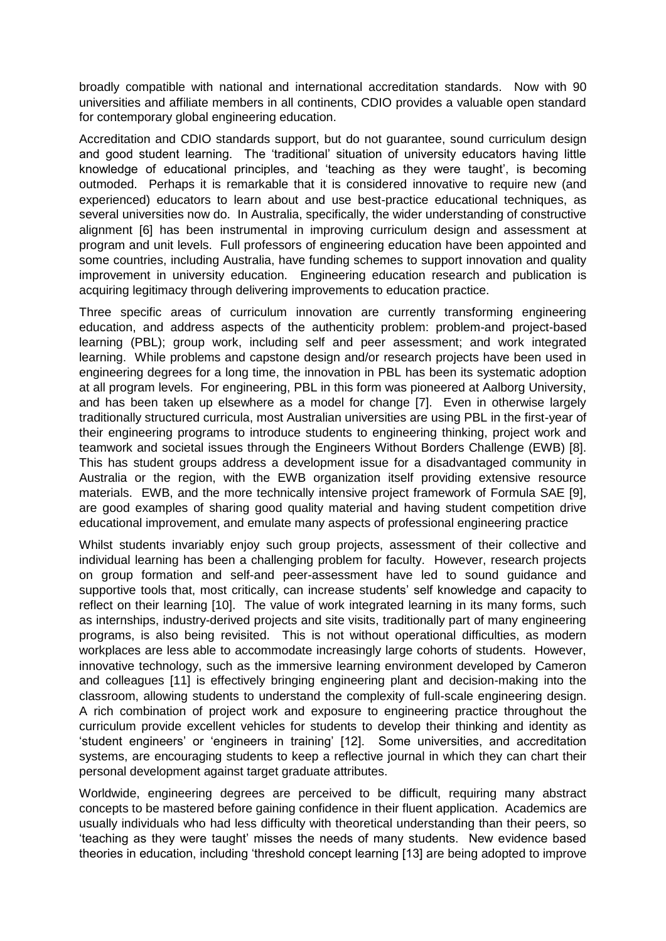broadly compatible with national and international accreditation standards. Now with 90 universities and affiliate members in all continents, CDIO provides a valuable open standard for contemporary global engineering education.

Accreditation and CDIO standards support, but do not guarantee, sound curriculum design and good student learning. The 'traditional' situation of university educators having little knowledge of educational principles, and 'teaching as they were taught', is becoming outmoded. Perhaps it is remarkable that it is considered innovative to require new (and experienced) educators to learn about and use best-practice educational techniques, as several universities now do. In Australia, specifically, the wider understanding of constructive alignment [6] has been instrumental in improving curriculum design and assessment at program and unit levels. Full professors of engineering education have been appointed and some countries, including Australia, have funding schemes to support innovation and quality improvement in university education. Engineering education research and publication is acquiring legitimacy through delivering improvements to education practice.

Three specific areas of curriculum innovation are currently transforming engineering education, and address aspects of the authenticity problem: problem-and project-based learning (PBL); group work, including self and peer assessment; and work integrated learning. While problems and capstone design and/or research projects have been used in engineering degrees for a long time, the innovation in PBL has been its systematic adoption at all program levels. For engineering, PBL in this form was pioneered at Aalborg University, and has been taken up elsewhere as a model for change [7]. Even in otherwise largely traditionally structured curricula, most Australian universities are using PBL in the first-year of their engineering programs to introduce students to engineering thinking, project work and teamwork and societal issues through the Engineers Without Borders Challenge (EWB) [8]. This has student groups address a development issue for a disadvantaged community in Australia or the region, with the EWB organization itself providing extensive resource materials. EWB, and the more technically intensive project framework of Formula SAE [9], are good examples of sharing good quality material and having student competition drive educational improvement, and emulate many aspects of professional engineering practice

Whilst students invariably enjoy such group projects, assessment of their collective and individual learning has been a challenging problem for faculty. However, research projects on group formation and self-and peer-assessment have led to sound guidance and supportive tools that, most critically, can increase students' self knowledge and capacity to reflect on their learning [10]. The value of work integrated learning in its many forms, such as internships, industry-derived projects and site visits, traditionally part of many engineering programs, is also being revisited. This is not without operational difficulties, as modern workplaces are less able to accommodate increasingly large cohorts of students. However, innovative technology, such as the immersive learning environment developed by Cameron and colleagues [11] is effectively bringing engineering plant and decision-making into the classroom, allowing students to understand the complexity of full-scale engineering design. A rich combination of project work and exposure to engineering practice throughout the curriculum provide excellent vehicles for students to develop their thinking and identity as 'student engineers' or 'engineers in training' [12]. Some universities, and accreditation systems, are encouraging students to keep a reflective journal in which they can chart their personal development against target graduate attributes.

Worldwide, engineering degrees are perceived to be difficult, requiring many abstract concepts to be mastered before gaining confidence in their fluent application. Academics are usually individuals who had less difficulty with theoretical understanding than their peers, so 'teaching as they were taught' misses the needs of many students. New evidence based theories in education, including 'threshold concept learning [13] are being adopted to improve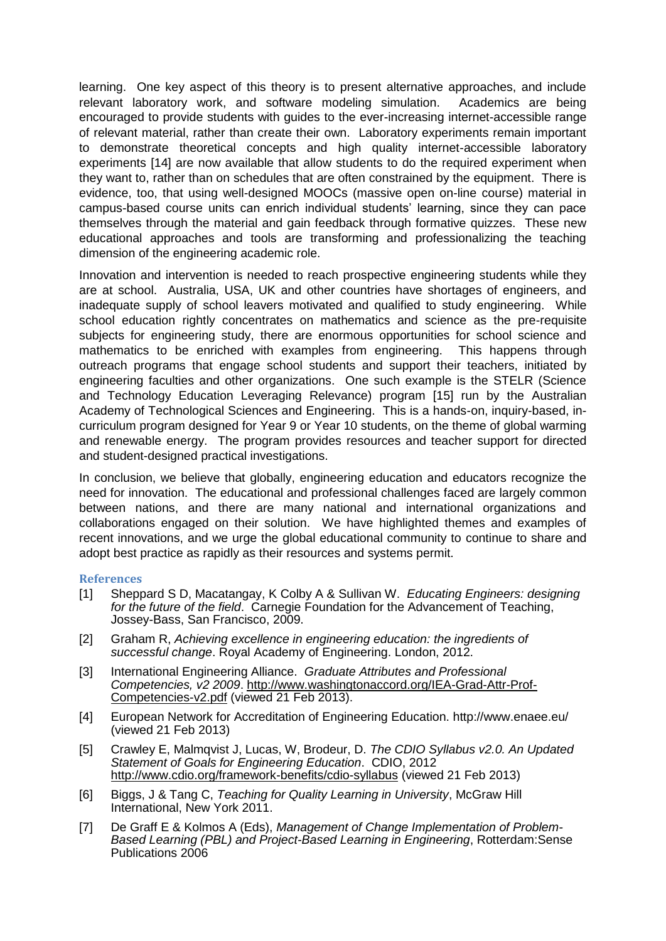learning. One key aspect of this theory is to present alternative approaches, and include relevant laboratory work, and software modeling simulation. Academics are being encouraged to provide students with guides to the ever-increasing internet-accessible range of relevant material, rather than create their own. Laboratory experiments remain important to demonstrate theoretical concepts and high quality internet-accessible laboratory experiments [14] are now available that allow students to do the required experiment when they want to, rather than on schedules that are often constrained by the equipment. There is evidence, too, that using well-designed MOOCs (massive open on-line course) material in campus-based course units can enrich individual students' learning, since they can pace themselves through the material and gain feedback through formative quizzes. These new educational approaches and tools are transforming and professionalizing the teaching dimension of the engineering academic role.

Innovation and intervention is needed to reach prospective engineering students while they are at school. Australia, USA, UK and other countries have shortages of engineers, and inadequate supply of school leavers motivated and qualified to study engineering. While school education rightly concentrates on mathematics and science as the pre-requisite subjects for engineering study, there are enormous opportunities for school science and mathematics to be enriched with examples from engineering. This happens through outreach programs that engage school students and support their teachers, initiated by engineering faculties and other organizations. One such example is the STELR (Science and Technology Education Leveraging Relevance) program [15] run by the Australian Academy of Technological Sciences and Engineering. This is a hands-on, inquiry-based, incurriculum program designed for Year 9 or Year 10 students, on the theme of global warming and renewable energy. The program provides resources and teacher support for directed and student-designed practical investigations.

In conclusion, we believe that globally, engineering education and educators recognize the need for innovation. The educational and professional challenges faced are largely common between nations, and there are many national and international organizations and collaborations engaged on their solution. We have highlighted themes and examples of recent innovations, and we urge the global educational community to continue to share and adopt best practice as rapidly as their resources and systems permit.

## **References**

- [1] Sheppard S D, Macatangay, K Colby A & Sullivan W. *Educating Engineers: designing for the future of the field*. Carnegie Foundation for the Advancement of Teaching, Jossey-Bass, San Francisco, 2009.
- [2] Graham R, *Achieving excellence in engineering education: the ingredients of successful change*. Royal Academy of Engineering. London, 2012.
- [3] International Engineering Alliance. *Graduate Attributes and Professional Competencies, v2 2009*. [http://www.washingtonaccord.org/IEA-Grad-Attr-Prof-](http://www.washingtonaccord.org/IEA-Grad-Attr-Prof-Competencies-v2.pdf)[Competencies-v2.pdf](http://www.washingtonaccord.org/IEA-Grad-Attr-Prof-Competencies-v2.pdf) (viewed 21 Feb 2013).
- [4] European Network for Accreditation of Engineering Education. http://www.enaee.eu/ (viewed 21 Feb 2013)
- [5] Crawley E, Malmqvist J, Lucas, W, Brodeur, D. *The CDIO Syllabus v2.0. An Updated Statement of Goals for Engineering Education*. CDIO, 2012 <http://www.cdio.org/framework-benefits/cdio-syllabus> (viewed 21 Feb 2013)
- [6] Biggs, J & Tang C, *Teaching for Quality Learning in University*, McGraw Hill International, New York 2011.
- [7] De Graff E & Kolmos A (Eds), *Management of Change Implementation of Problem-Based Learning (PBL) and Project-Based Learning in Engineering*, Rotterdam:Sense Publications 2006